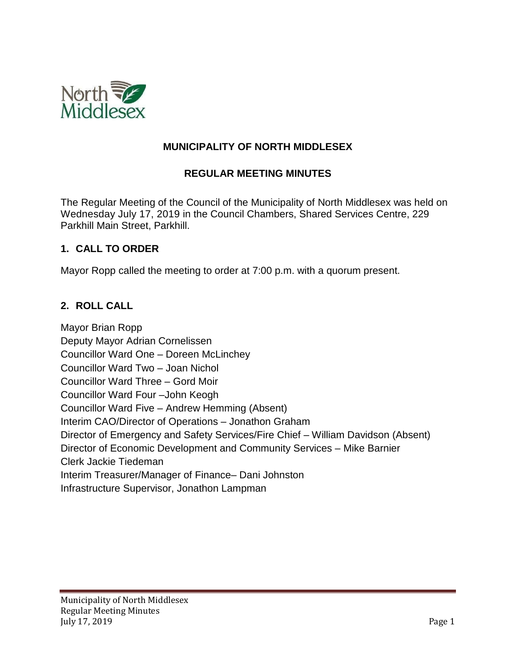

### **MUNICIPALITY OF NORTH MIDDLESEX**

### **REGULAR MEETING MINUTES**

The Regular Meeting of the Council of the Municipality of North Middlesex was held on Wednesday July 17, 2019 in the Council Chambers, Shared Services Centre, 229 Parkhill Main Street, Parkhill.

#### **1. CALL TO ORDER**

Mayor Ropp called the meeting to order at 7:00 p.m. with a quorum present.

### **2. ROLL CALL**

Mayor Brian Ropp Deputy Mayor Adrian Cornelissen Councillor Ward One – Doreen McLinchey Councillor Ward Two – Joan Nichol Councillor Ward Three – Gord Moir Councillor Ward Four –John Keogh Councillor Ward Five – Andrew Hemming (Absent) Interim CAO/Director of Operations – Jonathon Graham Director of Emergency and Safety Services/Fire Chief – William Davidson (Absent) Director of Economic Development and Community Services – Mike Barnier Clerk Jackie Tiedeman Interim Treasurer/Manager of Finance– Dani Johnston Infrastructure Supervisor, Jonathon Lampman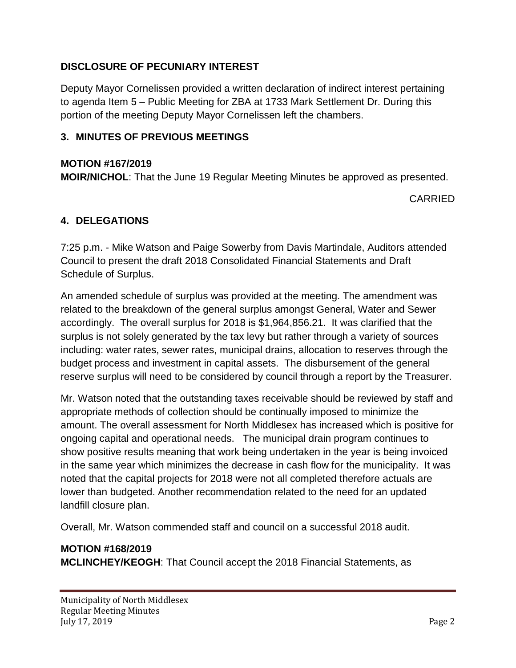## **DISCLOSURE OF PECUNIARY INTEREST**

Deputy Mayor Cornelissen provided a written declaration of indirect interest pertaining to agenda Item 5 – Public Meeting for ZBA at 1733 Mark Settlement Dr. During this portion of the meeting Deputy Mayor Cornelissen left the chambers.

### **3. MINUTES OF PREVIOUS MEETINGS**

#### **MOTION #167/2019**

**MOIR/NICHOL**: That the June 19 Regular Meeting Minutes be approved as presented.

CARRIED

### **4. DELEGATIONS**

7:25 p.m. - Mike Watson and Paige Sowerby from Davis Martindale, Auditors attended Council to present the draft 2018 Consolidated Financial Statements and Draft Schedule of Surplus.

An amended schedule of surplus was provided at the meeting. The amendment was related to the breakdown of the general surplus amongst General, Water and Sewer accordingly. The overall surplus for 2018 is \$1,964,856.21. It was clarified that the surplus is not solely generated by the tax levy but rather through a variety of sources including: water rates, sewer rates, municipal drains, allocation to reserves through the budget process and investment in capital assets. The disbursement of the general reserve surplus will need to be considered by council through a report by the Treasurer.

Mr. Watson noted that the outstanding taxes receivable should be reviewed by staff and appropriate methods of collection should be continually imposed to minimize the amount. The overall assessment for North Middlesex has increased which is positive for ongoing capital and operational needs. The municipal drain program continues to show positive results meaning that work being undertaken in the year is being invoiced in the same year which minimizes the decrease in cash flow for the municipality. It was noted that the capital projects for 2018 were not all completed therefore actuals are lower than budgeted. Another recommendation related to the need for an updated landfill closure plan.

Overall, Mr. Watson commended staff and council on a successful 2018 audit.

# **MOTION #168/2019**

**MCLINCHEY/KEOGH**: That Council accept the 2018 Financial Statements, as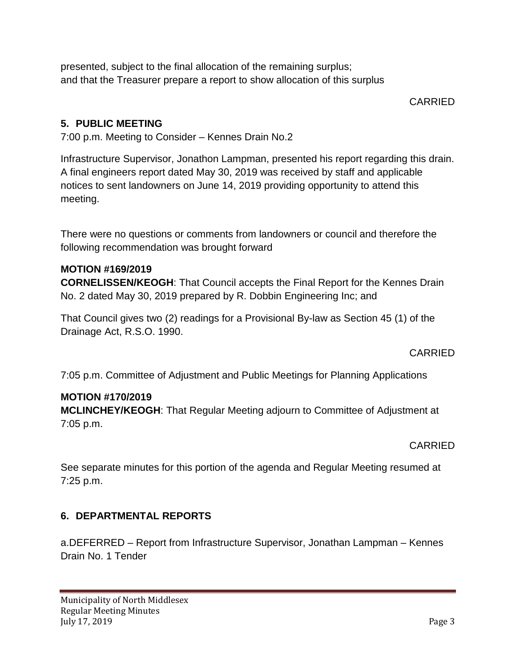presented, subject to the final allocation of the remaining surplus; and that the Treasurer prepare a report to show allocation of this surplus

CARRIED

# **5. PUBLIC MEETING**

7:00 p.m. Meeting to Consider – Kennes Drain No.2

Infrastructure Supervisor, Jonathon Lampman, presented his report regarding this drain. A final engineers report dated May 30, 2019 was received by staff and applicable notices to sent landowners on June 14, 2019 providing opportunity to attend this meeting.

There were no questions or comments from landowners or council and therefore the following recommendation was brought forward

### **MOTION #169/2019**

**CORNELISSEN/KEOGH**: That Council accepts the Final Report for the Kennes Drain No. 2 dated May 30, 2019 prepared by R. Dobbin Engineering Inc; and

That Council gives two (2) readings for a Provisional By-law as Section 45 (1) of the Drainage Act, R.S.O. 1990.

CARRIED

7:05 p.m. Committee of Adjustment and Public Meetings for Planning Applications

### **MOTION #170/2019**

**MCLINCHEY/KEOGH**: That Regular Meeting adjourn to Committee of Adjustment at 7:05 p.m.

### CARRIED

See separate minutes for this portion of the agenda and Regular Meeting resumed at 7:25 p.m.

## **6. DEPARTMENTAL REPORTS**

a.DEFERRED – Report from Infrastructure Supervisor, Jonathan Lampman – Kennes Drain No. 1 Tender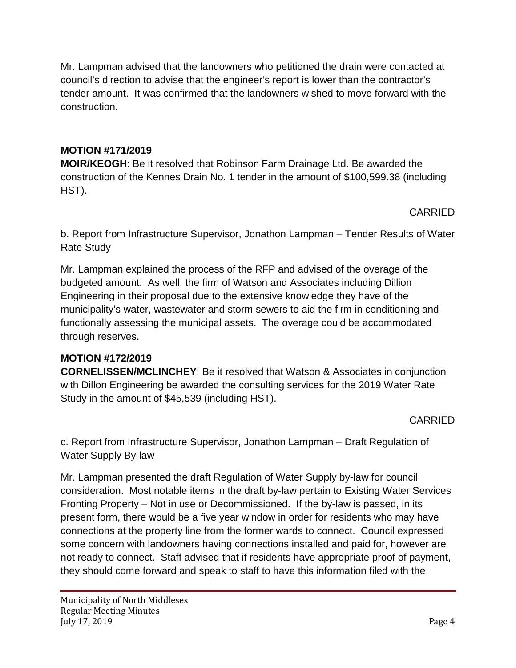Mr. Lampman advised that the landowners who petitioned the drain were contacted at council's direction to advise that the engineer's report is lower than the contractor's tender amount. It was confirmed that the landowners wished to move forward with the construction.

# **MOTION #171/2019**

**MOIR/KEOGH**: Be it resolved that Robinson Farm Drainage Ltd. Be awarded the construction of the Kennes Drain No. 1 tender in the amount of \$100,599.38 (including HST).

CARRIED

b. Report from Infrastructure Supervisor, Jonathon Lampman – Tender Results of Water Rate Study

Mr. Lampman explained the process of the RFP and advised of the overage of the budgeted amount. As well, the firm of Watson and Associates including Dillion Engineering in their proposal due to the extensive knowledge they have of the municipality's water, wastewater and storm sewers to aid the firm in conditioning and functionally assessing the municipal assets. The overage could be accommodated through reserves.

## **MOTION #172/2019**

**CORNELISSEN/MCLINCHEY**: Be it resolved that Watson & Associates in conjunction with Dillon Engineering be awarded the consulting services for the 2019 Water Rate Study in the amount of \$45,539 (including HST).

CARRIED

c. Report from Infrastructure Supervisor, Jonathon Lampman – Draft Regulation of Water Supply By-law

Mr. Lampman presented the draft Regulation of Water Supply by-law for council consideration. Most notable items in the draft by-law pertain to Existing Water Services Fronting Property – Not in use or Decommissioned. If the by-law is passed, in its present form, there would be a five year window in order for residents who may have connections at the property line from the former wards to connect. Council expressed some concern with landowners having connections installed and paid for, however are not ready to connect. Staff advised that if residents have appropriate proof of payment, they should come forward and speak to staff to have this information filed with the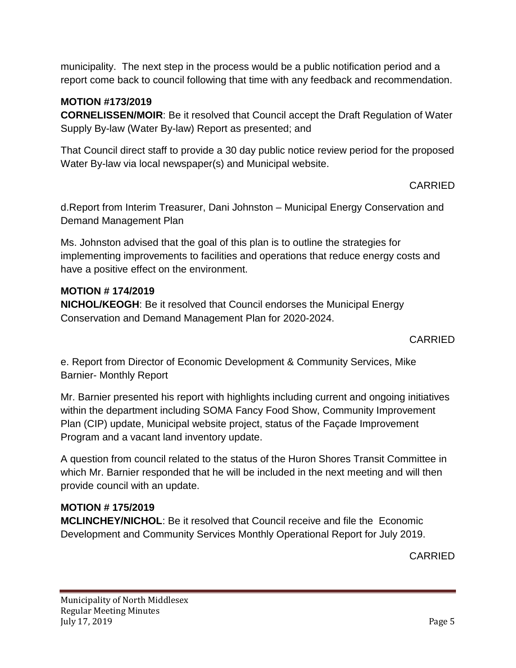municipality. The next step in the process would be a public notification period and a report come back to council following that time with any feedback and recommendation.

## **MOTION #173/2019**

**CORNELISSEN/MOIR**: Be it resolved that Council accept the Draft Regulation of Water Supply By-law (Water By-law) Report as presented; and

That Council direct staff to provide a 30 day public notice review period for the proposed Water By-law via local newspaper(s) and Municipal website.

CARRIED

d.Report from Interim Treasurer, Dani Johnston – Municipal Energy Conservation and Demand Management Plan

Ms. Johnston advised that the goal of this plan is to outline the strategies for implementing improvements to facilities and operations that reduce energy costs and have a positive effect on the environment.

### **MOTION # 174/2019**

**NICHOL/KEOGH**: Be it resolved that Council endorses the Municipal Energy Conservation and Demand Management Plan for 2020-2024.

### CARRIED

e. Report from Director of Economic Development & Community Services, Mike Barnier- Monthly Report

Mr. Barnier presented his report with highlights including current and ongoing initiatives within the department including SOMA Fancy Food Show, Community Improvement Plan (CIP) update, Municipal website project, status of the Façade Improvement Program and a vacant land inventory update.

A question from council related to the status of the Huron Shores Transit Committee in which Mr. Barnier responded that he will be included in the next meeting and will then provide council with an update.

# **MOTION # 175/2019**

**MCLINCHEY/NICHOL**: Be it resolved that Council receive and file the Economic Development and Community Services Monthly Operational Report for July 2019.

CARRIED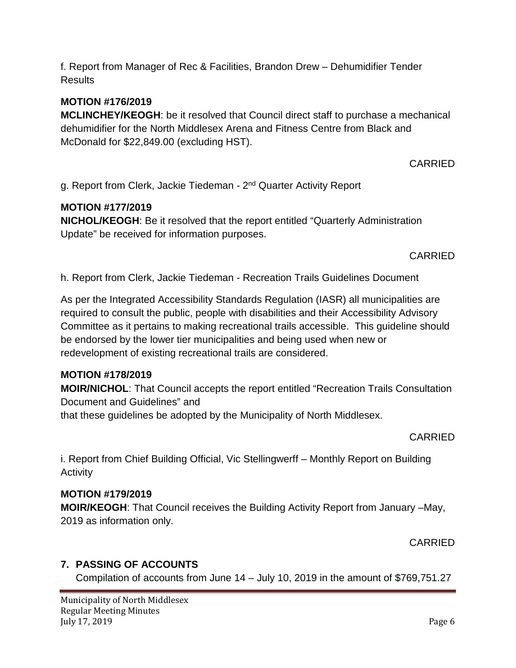f. Report from Manager of Rec & Facilities, Brandon Drew – Dehumidifier Tender **Results** 

### **MOTION #176/2019**

**MCLINCHEY/KEOGH**: be it resolved that Council direct staff to purchase a mechanical dehumidifier for the North Middlesex Arena and Fitness Centre from Black and McDonald for \$22,849.00 (excluding HST).

CARRIED

g. Report from Clerk, Jackie Tiedeman - 2nd Quarter Activity Report

### **MOTION #177/2019**

**NICHOL/KEOGH**: Be it resolved that the report entitled "Quarterly Administration Update" be received for information purposes.

CARRIED

h. Report from Clerk, Jackie Tiedeman - Recreation Trails Guidelines Document

As per the Integrated Accessibility Standards Regulation (IASR) all municipalities are required to consult the public, people with disabilities and their Accessibility Advisory Committee as it pertains to making recreational trails accessible. This guideline should be endorsed by the lower tier municipalities and being used when new or redevelopment of existing recreational trails are considered.

### **MOTION #178/2019**

**MOIR/NICHOL**: That Council accepts the report entitled "Recreation Trails Consultation Document and Guidelines" and

that these guidelines be adopted by the Municipality of North Middlesex.

#### CARRIED

i. Report from Chief Building Official, Vic Stellingwerff – Monthly Report on Building **Activity** 

#### **MOTION #179/2019**

**MOIR/KEOGH**: That Council receives the Building Activity Report from January –May, 2019 as information only.

CARRIED

### **7. PASSING OF ACCOUNTS**

Compilation of accounts from June 14 – July 10, 2019 in the amount of \$769,751.27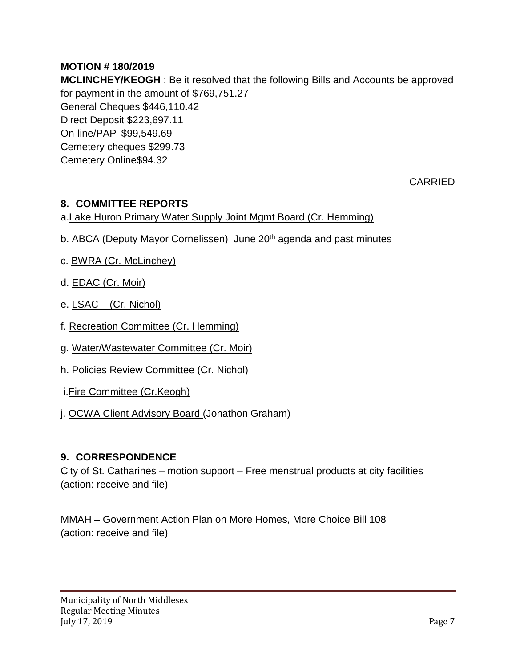# **MOTION # 180/2019**

**MCLINCHEY/KEOGH** : Be it resolved that the following Bills and Accounts be approved for payment in the amount of \$769,751.27 General Cheques \$446,110.42 Direct Deposit \$223,697.11 On-line/PAP \$99,549.69 Cemetery cheques \$299.73 Cemetery Online\$94.32

CARRIED

## **8. COMMITTEE REPORTS**

### a.Lake Huron Primary Water Supply Joint Mgmt Board (Cr. Hemming)

- b. ABCA (Deputy Mayor Cornelissen) June 20<sup>th</sup> agenda and past minutes
- c. BWRA (Cr. McLinchey)
- d. **EDAC** (Cr. Moir)
- e. LSAC (Cr. Nichol)
- f. Recreation Committee (Cr. Hemming)
- g. Water/Wastewater Committee (Cr. Moir)
- h. Policies Review Committee (Cr. Nichol)
- i.Fire Committee (Cr.Keogh)
- j. OCWA Client Advisory Board (Jonathon Graham)

#### **9. CORRESPONDENCE**

City of St. Catharines – motion support – Free menstrual products at city facilities (action: receive and file)

MMAH – Government Action Plan on More Homes, More Choice Bill 108 (action: receive and file)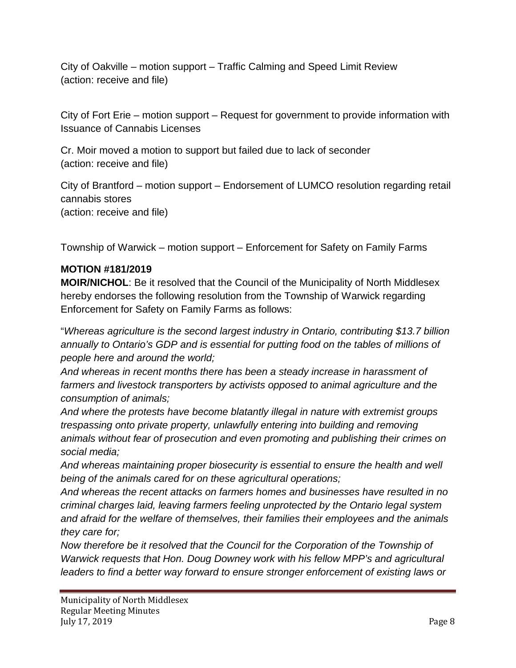City of Oakville – motion support – Traffic Calming and Speed Limit Review (action: receive and file)

City of Fort Erie – motion support – Request for government to provide information with Issuance of Cannabis Licenses

Cr. Moir moved a motion to support but failed due to lack of seconder (action: receive and file)

City of Brantford – motion support – Endorsement of LUMCO resolution regarding retail cannabis stores (action: receive and file)

Township of Warwick – motion support – Enforcement for Safety on Family Farms

### **MOTION #181/2019**

**MOIR/NICHOL**: Be it resolved that the Council of the Municipality of North Middlesex hereby endorses the following resolution from the Township of Warwick regarding Enforcement for Safety on Family Farms as follows:

"*Whereas agriculture is the second largest industry in Ontario, contributing \$13.7 billion annually to Ontario's GDP and is essential for putting food on the tables of millions of people here and around the world;*

*And whereas in recent months there has been a steady increase in harassment of farmers and livestock transporters by activists opposed to animal agriculture and the consumption of animals;*

*And where the protests have become blatantly illegal in nature with extremist groups trespassing onto private property, unlawfully entering into building and removing animals without fear of prosecution and even promoting and publishing their crimes on social media;*

*And whereas maintaining proper biosecurity is essential to ensure the health and well being of the animals cared for on these agricultural operations;*

*And whereas the recent attacks on farmers homes and businesses have resulted in no criminal charges laid, leaving farmers feeling unprotected by the Ontario legal system and afraid for the welfare of themselves, their families their employees and the animals they care for;*

*Now therefore be it resolved that the Council for the Corporation of the Township of Warwick requests that Hon. Doug Downey work with his fellow MPP's and agricultural leaders to find a better way forward to ensure stronger enforcement of existing laws or*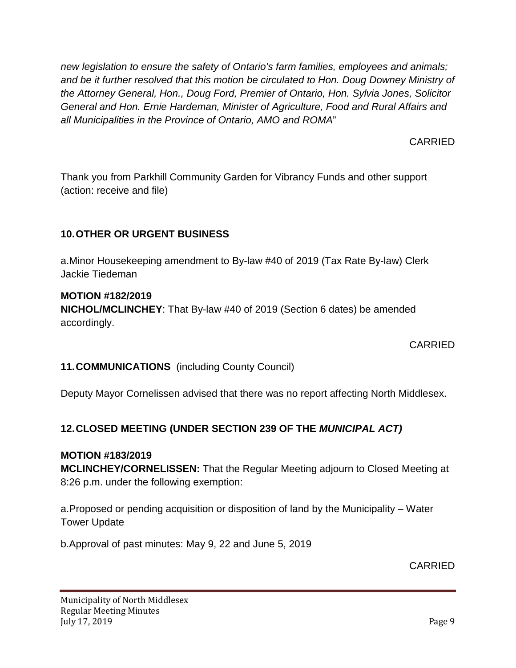*new legislation to ensure the safety of Ontario's farm families, employees and animals; and be it further resolved that this motion be circulated to Hon. Doug Downey Ministry of the Attorney General, Hon., Doug Ford, Premier of Ontario, Hon. Sylvia Jones, Solicitor General and Hon. Ernie Hardeman, Minister of Agriculture, Food and Rural Affairs and all Municipalities in the Province of Ontario, AMO and ROMA*"

CARRIED

Thank you from Parkhill Community Garden for Vibrancy Funds and other support (action: receive and file)

# **10.OTHER OR URGENT BUSINESS**

a.Minor Housekeeping amendment to By-law #40 of 2019 (Tax Rate By-law) Clerk Jackie Tiedeman

### **MOTION #182/2019**

**NICHOL/MCLINCHEY**: That By-law #40 of 2019 (Section 6 dates) be amended accordingly.

CARRIED

## **11.COMMUNICATIONS** (including County Council)

Deputy Mayor Cornelissen advised that there was no report affecting North Middlesex.

## **12.CLOSED MEETING (UNDER SECTION 239 OF THE** *MUNICIPAL ACT)*

#### **MOTION #183/2019**

**MCLINCHEY/CORNELISSEN:** That the Regular Meeting adjourn to Closed Meeting at 8:26 p.m. under the following exemption:

a.Proposed or pending acquisition or disposition of land by the Municipality – Water Tower Update

b.Approval of past minutes: May 9, 22 and June 5, 2019

CARRIED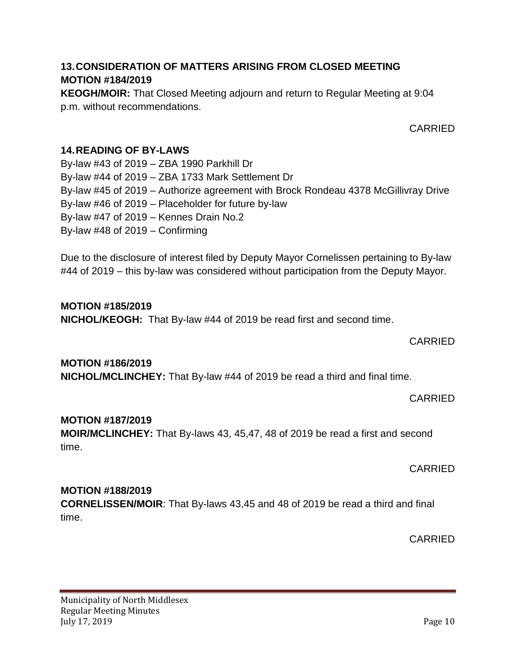### **13.CONSIDERATION OF MATTERS ARISING FROM CLOSED MEETING MOTION #184/2019**

**KEOGH/MOIR:** That Closed Meeting adjourn and return to Regular Meeting at 9:04 p.m. without recommendations.

CARRIED

### **14.READING OF BY-LAWS**

By-law #43 of 2019 – ZBA 1990 Parkhill Dr By-law #44 of 2019 – ZBA 1733 Mark Settlement Dr By-law #45 of 2019 – Authorize agreement with Brock Rondeau 4378 McGillivray Drive By-law #46 of 2019 – Placeholder for future by-law By-law #47 of 2019 – Kennes Drain No.2 By-law #48 of 2019 – Confirming

Due to the disclosure of interest filed by Deputy Mayor Cornelissen pertaining to By-law #44 of 2019 – this by-law was considered without participation from the Deputy Mayor.

### **MOTION #185/2019**

**NICHOL/KEOGH:** That By-law #44 of 2019 be read first and second time.

### CARRIED

### **MOTION #186/2019**

**NICHOL/MCLINCHEY:** That By-law #44 of 2019 be read a third and final time.

CARRIED

#### **MOTION #187/2019**

**MOIR/MCLINCHEY:** That By-laws 43, 45,47, 48 of 2019 be read a first and second time.

CARRIED

### **MOTION #188/2019**

**CORNELISSEN/MOIR**: That By-laws 43,45 and 48 of 2019 be read a third and final time.

CARRIED